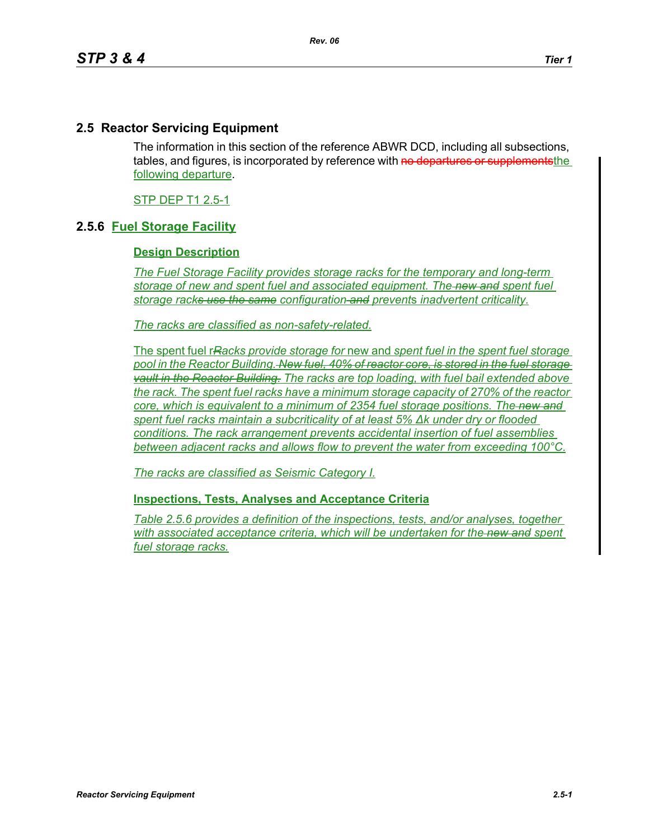## **2.5 Reactor Servicing Equipment**

The information in this section of the reference ABWR DCD, including all subsections, tables, and figures, is incorporated by reference with no departures or supplements the following departure.

STP DEP T1 2.5-1

## **2.5.6 Fuel Storage Facility**

## **Design Description**

*The Fuel Storage Facility provides storage racks for the temporary and long-term storage of new and spent fuel and associated equipment. The new and spent fuel storage racks use the same configuration and prevent*s *inadvertent criticality.*

*The racks are classified as non-safety-related.*

The spent fuel r*Racks provide storage for* new and *spent fuel in the spent fuel storage pool in the Reactor Building. New fuel, 40% of reactor core, is stored in the fuel storage vault in the Reactor Building. The racks are top loading, with fuel bail extended above the rack. The spent fuel racks have a minimum storage capacity of 270% of the reactor core, which is equivalent to a minimum of 2354 fuel storage positions. The new and spent fuel racks maintain a subcriticality of at least 5% ∆k under dry or flooded conditions. The rack arrangement prevents accidental insertion of fuel assemblies between adjacent racks and allows flow to prevent the water from exceeding 100°C.*

*The racks are classified as Seismic Category I.*

## **Inspections, Tests, Analyses and Acceptance Criteria**

*Table 2.5.6 provides a definition of the inspections, tests, and/or analyses, together*  with associated acceptance criteria, which will be undertaken for the new and spent *fuel storage racks.*